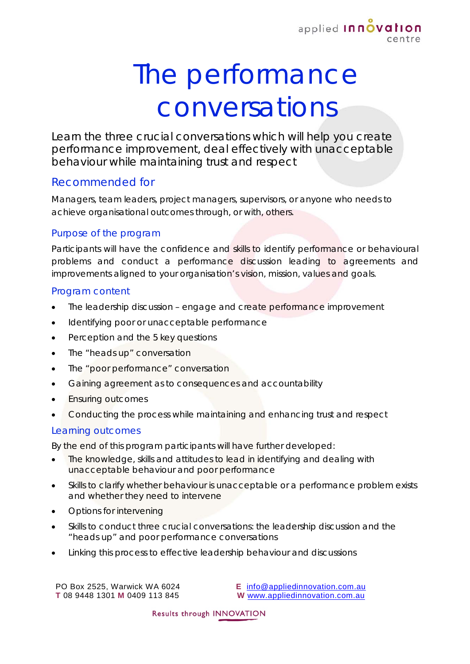

# The performance conversations

Learn the three crucial conversations which will help you create performance improvement, deal effectively with unacceptable behaviour while maintaining trust and respect

# Recommended for

Managers, team leaders, project managers, supervisors, or anyone who needs to achieve organisational outcomes through, or with, others.

### Purpose of the program

Participants will have the confidence and skills to identify performance or behavioural problems and conduct a performance discussion leading to agreements and improvements aligned to your organisation's vision, mission, values and goals.

#### Program content

- The leadership discussion engage and create performance improvement
- Identifying poor or unacceptable performance
- Perception and the 5 key questions
- The "heads up" conversation
- The "poor performance" conversation
- Gaining agreement as to consequences and accountability
- Ensuring outcomes
- Conducting the process while maintaining and enhancing trust and respect

## Learning outcomes

By the end of this program participants will have further developed:

- The knowledge, skills and attitudes to lead in identifying and dealing with unacceptable behaviour and poor performance
- Skills to clarify whether behaviour is unacceptable or a performance problem exists and whether they need to intervene
- Options for intervening
- Skills to conduct three crucial conversations: the leadership discussion and the "heads up" and poor performance conversations
- Linking this process to effective leadership behaviour and discussions

PO Box 2525, Warwick WA 6024 **T** 08 9448 1301 **M** 0409 113 845 **E** [info@appliedinnovation.com.au](mailto:info@appliedinnovation.com.au) **W** [www.appliedinnovation.com.au](http://www.appliedinnovation.com.au/)

Results through INNOVATION